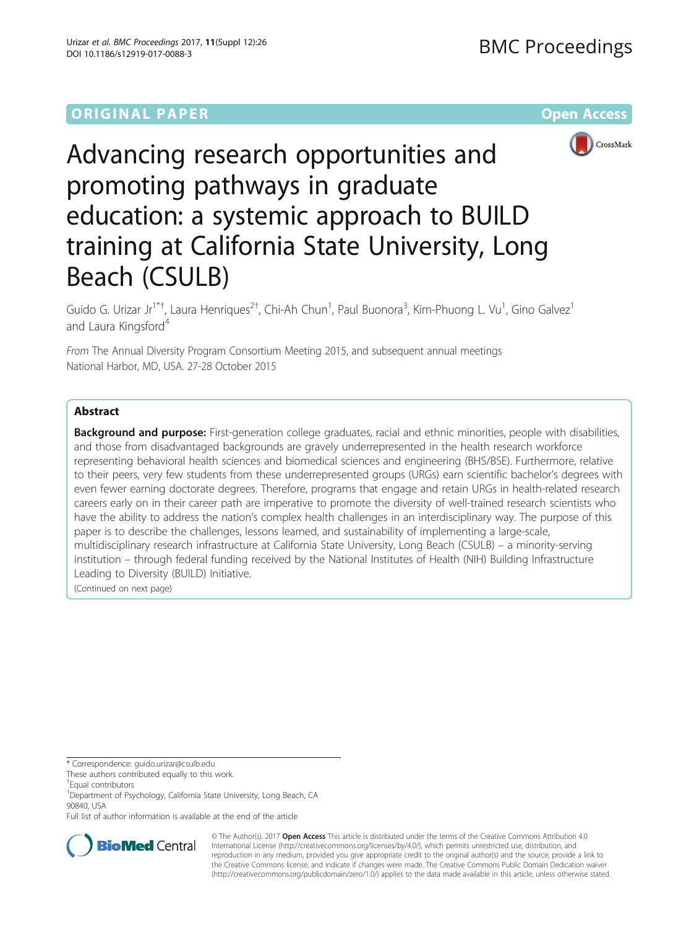# **ORIGINAL PAPER** And the second contract of the second contract of the second contract of the second contract of the second contract of the second contract of the second contract of the second contract of the second contra



# Advancing research opportunities and promoting pathways in graduate education: a systemic approach to BUILD training at California State University, Long Beach (CSULB)

Guido G. Urizar Jr $^{1*+}$ , Laura Henriques $^{2+}$ , Chi-Ah Chun $^1$ , Paul Buonora $^3$ , Kim-Phuong L. Vu $^1$ , Gino Galvez $^1$ and Laura Kingsford<sup>4</sup>

From The Annual Diversity Program Consortium Meeting 2015, and subsequent annual meetings National Harbor, MD, USA. 27-28 October 2015

# Abstract

**Background and purpose:** First-generation college graduates, racial and ethnic minorities, people with disabilities, and those from disadvantaged backgrounds are gravely underrepresented in the health research workforce representing behavioral health sciences and biomedical sciences and engineering (BHS/BSE). Furthermore, relative to their peers, very few students from these underrepresented groups (URGs) earn scientific bachelor's degrees with even fewer earning doctorate degrees. Therefore, programs that engage and retain URGs in health-related research careers early on in their career path are imperative to promote the diversity of well-trained research scientists who have the ability to address the nation's complex health challenges in an interdisciplinary way. The purpose of this paper is to describe the challenges, lessons learned, and sustainability of implementing a large-scale, multidisciplinary research infrastructure at California State University, Long Beach (CSULB) – a minority-serving institution – through federal funding received by the National Institutes of Health (NIH) Building Infrastructure Leading to Diversity (BUILD) Initiative.

(Continued on next page)

\* Correspondence: [guido.urizar@csulb.edu](mailto:guido.urizar@csulb.edu)

† Equal contributors

Full list of author information is available at the end of the article



© The Author(s). 2017 **Open Access** This article is distributed under the terms of the Creative Commons Attribution 4.0 International License [\(http://creativecommons.org/licenses/by/4.0/](http://creativecommons.org/licenses/by/4.0/)), which permits unrestricted use, distribution, and reproduction in any medium, provided you give appropriate credit to the original author(s) and the source, provide a link to the Creative Commons license, and indicate if changes were made. The Creative Commons Public Domain Dedication waiver [\(http://creativecommons.org/publicdomain/zero/1.0/](http://creativecommons.org/publicdomain/zero/1.0/)) applies to the data made available in this article, unless otherwise stated.

These authors contributed equally to this work.

<sup>&</sup>lt;sup>1</sup>Department of Psychology, California State University, Long Beach, CA 90840, USA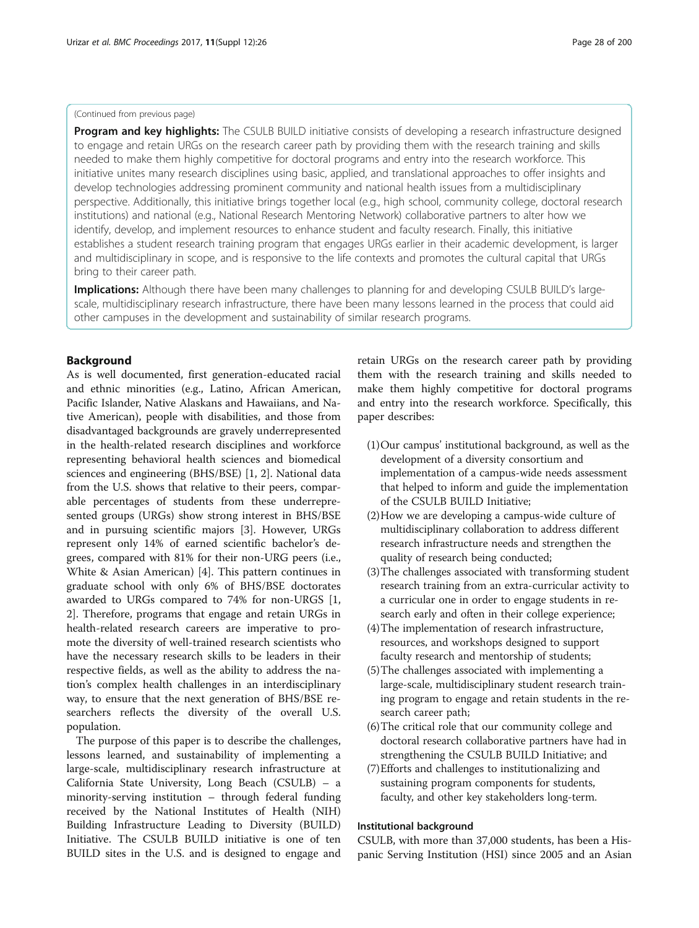#### (Continued from previous page)

**Program and key highlights:** The CSULB BUILD initiative consists of developing a research infrastructure designed to engage and retain URGs on the research career path by providing them with the research training and skills needed to make them highly competitive for doctoral programs and entry into the research workforce. This initiative unites many research disciplines using basic, applied, and translational approaches to offer insights and develop technologies addressing prominent community and national health issues from a multidisciplinary perspective. Additionally, this initiative brings together local (e.g., high school, community college, doctoral research institutions) and national (e.g., National Research Mentoring Network) collaborative partners to alter how we identify, develop, and implement resources to enhance student and faculty research. Finally, this initiative establishes a student research training program that engages URGs earlier in their academic development, is larger and multidisciplinary in scope, and is responsive to the life contexts and promotes the cultural capital that URGs bring to their career path.

**Implications:** Although there have been many challenges to planning for and developing CSULB BUILD's largescale, multidisciplinary research infrastructure, there have been many lessons learned in the process that could aid other campuses in the development and sustainability of similar research programs.

# Background

As is well documented, first generation-educated racial and ethnic minorities (e.g., Latino, African American, Pacific Islander, Native Alaskans and Hawaiians, and Native American), people with disabilities, and those from disadvantaged backgrounds are gravely underrepresented in the health-related research disciplines and workforce representing behavioral health sciences and biomedical sciences and engineering (BHS/BSE) [\[1](#page-12-0), [2](#page-12-0)]. National data from the U.S. shows that relative to their peers, comparable percentages of students from these underrepresented groups (URGs) show strong interest in BHS/BSE and in pursuing scientific majors [[3\]](#page-12-0). However, URGs represent only 14% of earned scientific bachelor's degrees, compared with 81% for their non-URG peers (i.e., White & Asian American) [[4\]](#page-12-0). This pattern continues in graduate school with only 6% of BHS/BSE doctorates awarded to URGs compared to 74% for non-URGS [\[1](#page-12-0), [2\]](#page-12-0). Therefore, programs that engage and retain URGs in health-related research careers are imperative to promote the diversity of well-trained research scientists who have the necessary research skills to be leaders in their respective fields, as well as the ability to address the nation's complex health challenges in an interdisciplinary way, to ensure that the next generation of BHS/BSE researchers reflects the diversity of the overall U.S. population.

The purpose of this paper is to describe the challenges, lessons learned, and sustainability of implementing a large-scale, multidisciplinary research infrastructure at California State University, Long Beach (CSULB) – a minority-serving institution – through federal funding received by the National Institutes of Health (NIH) Building Infrastructure Leading to Diversity (BUILD) Initiative. The CSULB BUILD initiative is one of ten BUILD sites in the U.S. and is designed to engage and retain URGs on the research career path by providing them with the research training and skills needed to make them highly competitive for doctoral programs and entry into the research workforce. Specifically, this paper describes:

- (1)Our campus' institutional background, as well as the development of a diversity consortium and implementation of a campus-wide needs assessment that helped to inform and guide the implementation of the CSULB BUILD Initiative;
- (2)How we are developing a campus-wide culture of multidisciplinary collaboration to address different research infrastructure needs and strengthen the quality of research being conducted;
- (3)The challenges associated with transforming student research training from an extra-curricular activity to a curricular one in order to engage students in research early and often in their college experience;
- (4)The implementation of research infrastructure, resources, and workshops designed to support faculty research and mentorship of students;
- (5)The challenges associated with implementing a large-scale, multidisciplinary student research training program to engage and retain students in the research career path;
- (6)The critical role that our community college and doctoral research collaborative partners have had in strengthening the CSULB BUILD Initiative; and
- (7)Efforts and challenges to institutionalizing and sustaining program components for students, faculty, and other key stakeholders long-term.

# Institutional background

CSULB, with more than 37,000 students, has been a Hispanic Serving Institution (HSI) since 2005 and an Asian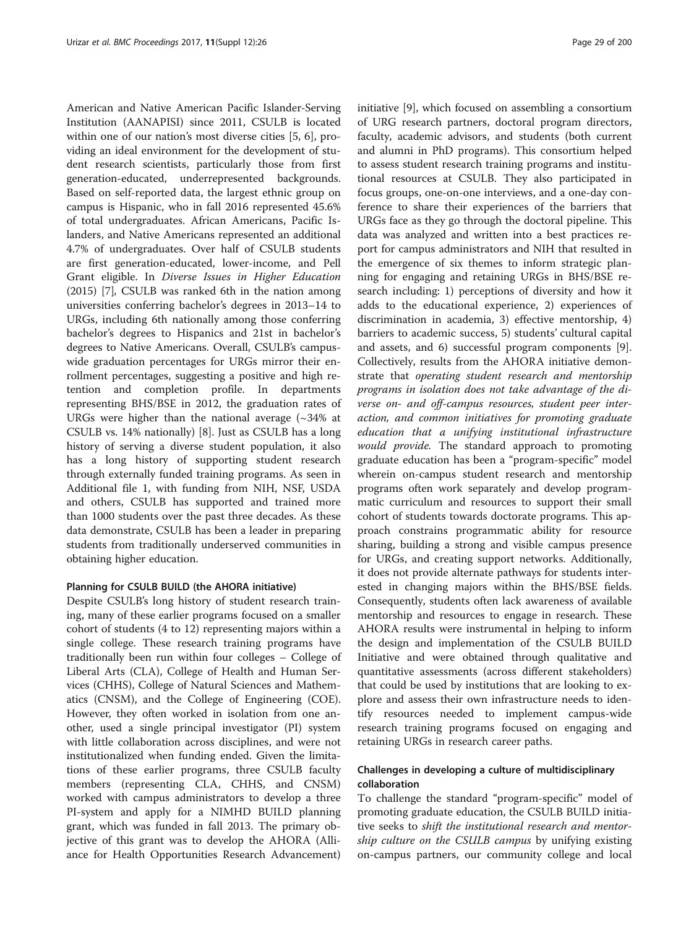American and Native American Pacific Islander-Serving Institution (AANAPISI) since 2011, CSULB is located within one of our nation's most diverse cities [\[5](#page-12-0), [6](#page-12-0)], providing an ideal environment for the development of student research scientists, particularly those from first generation-educated, underrepresented backgrounds. Based on self-reported data, the largest ethnic group on campus is Hispanic, who in fall 2016 represented 45.6% of total undergraduates. African Americans, Pacific Islanders, and Native Americans represented an additional 4.7% of undergraduates. Over half of CSULB students are first generation-educated, lower-income, and Pell Grant eligible. In Diverse Issues in Higher Education (2015) [[7](#page-12-0)], CSULB was ranked 6th in the nation among universities conferring bachelor's degrees in 2013–14 to URGs, including 6th nationally among those conferring bachelor's degrees to Hispanics and 21st in bachelor's degrees to Native Americans. Overall, CSULB's campuswide graduation percentages for URGs mirror their enrollment percentages, suggesting a positive and high retention and completion profile. In departments representing BHS/BSE in 2012, the graduation rates of URGs were higher than the national average (~34% at CSULB vs. 14% nationally) [\[8](#page-12-0)]. Just as CSULB has a long history of serving a diverse student population, it also has a long history of supporting student research through externally funded training programs. As seen in Additional file [1](#page-12-0), with funding from NIH, NSF, USDA and others, CSULB has supported and trained more than 1000 students over the past three decades. As these data demonstrate, CSULB has been a leader in preparing students from traditionally underserved communities in obtaining higher education.

#### Planning for CSULB BUILD (the AHORA initiative)

Despite CSULB's long history of student research training, many of these earlier programs focused on a smaller cohort of students (4 to 12) representing majors within a single college. These research training programs have traditionally been run within four colleges – College of Liberal Arts (CLA), College of Health and Human Services (CHHS), College of Natural Sciences and Mathematics (CNSM), and the College of Engineering (COE). However, they often worked in isolation from one another, used a single principal investigator (PI) system with little collaboration across disciplines, and were not institutionalized when funding ended. Given the limitations of these earlier programs, three CSULB faculty members (representing CLA, CHHS, and CNSM) worked with campus administrators to develop a three PI-system and apply for a NIMHD BUILD planning grant, which was funded in fall 2013. The primary objective of this grant was to develop the AHORA (Alliance for Health Opportunities Research Advancement) initiative [\[9](#page-12-0)], which focused on assembling a consortium of URG research partners, doctoral program directors, faculty, academic advisors, and students (both current and alumni in PhD programs). This consortium helped to assess student research training programs and institutional resources at CSULB. They also participated in focus groups, one-on-one interviews, and a one-day conference to share their experiences of the barriers that URGs face as they go through the doctoral pipeline. This data was analyzed and written into a best practices report for campus administrators and NIH that resulted in the emergence of six themes to inform strategic planning for engaging and retaining URGs in BHS/BSE research including: 1) perceptions of diversity and how it adds to the educational experience, 2) experiences of discrimination in academia, 3) effective mentorship, 4) barriers to academic success, 5) students' cultural capital and assets, and 6) successful program components [\[9](#page-12-0)]. Collectively, results from the AHORA initiative demonstrate that operating student research and mentorship programs in isolation does not take advantage of the diverse on- and off-campus resources, student peer interaction, and common initiatives for promoting graduate education that a unifying institutional infrastructure would provide. The standard approach to promoting graduate education has been a "program-specific" model wherein on-campus student research and mentorship programs often work separately and develop programmatic curriculum and resources to support their small cohort of students towards doctorate programs. This approach constrains programmatic ability for resource sharing, building a strong and visible campus presence for URGs, and creating support networks. Additionally, it does not provide alternate pathways for students interested in changing majors within the BHS/BSE fields. Consequently, students often lack awareness of available mentorship and resources to engage in research. These AHORA results were instrumental in helping to inform the design and implementation of the CSULB BUILD Initiative and were obtained through qualitative and quantitative assessments (across different stakeholders) that could be used by institutions that are looking to explore and assess their own infrastructure needs to identify resources needed to implement campus-wide research training programs focused on engaging and retaining URGs in research career paths.

# Challenges in developing a culture of multidisciplinary collaboration

To challenge the standard "program-specific" model of promoting graduate education, the CSULB BUILD initiative seeks to shift the institutional research and mentorship culture on the CSULB campus by unifying existing on-campus partners, our community college and local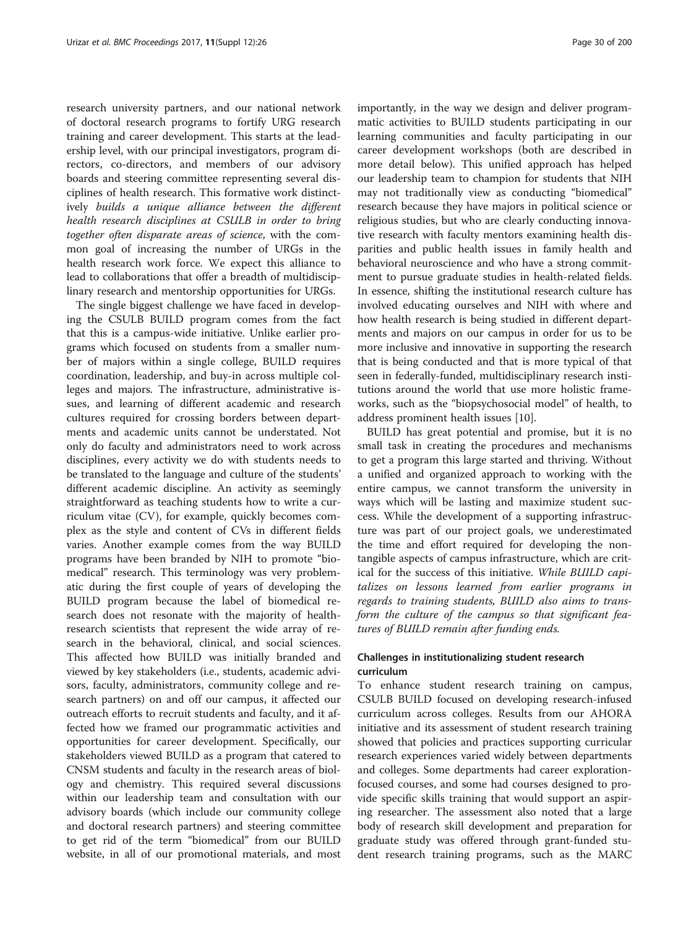research university partners, and our national network of doctoral research programs to fortify URG research training and career development. This starts at the leadership level, with our principal investigators, program directors, co-directors, and members of our advisory boards and steering committee representing several disciplines of health research. This formative work distinctively builds a unique alliance between the different health research disciplines at CSULB in order to bring together often disparate areas of science, with the common goal of increasing the number of URGs in the health research work force. We expect this alliance to lead to collaborations that offer a breadth of multidisciplinary research and mentorship opportunities for URGs.

The single biggest challenge we have faced in developing the CSULB BUILD program comes from the fact that this is a campus-wide initiative. Unlike earlier programs which focused on students from a smaller number of majors within a single college, BUILD requires coordination, leadership, and buy-in across multiple colleges and majors. The infrastructure, administrative issues, and learning of different academic and research cultures required for crossing borders between departments and academic units cannot be understated. Not only do faculty and administrators need to work across disciplines, every activity we do with students needs to be translated to the language and culture of the students' different academic discipline. An activity as seemingly straightforward as teaching students how to write a curriculum vitae (CV), for example, quickly becomes complex as the style and content of CVs in different fields varies. Another example comes from the way BUILD programs have been branded by NIH to promote "biomedical" research. This terminology was very problematic during the first couple of years of developing the BUILD program because the label of biomedical research does not resonate with the majority of healthresearch scientists that represent the wide array of research in the behavioral, clinical, and social sciences. This affected how BUILD was initially branded and viewed by key stakeholders (i.e., students, academic advisors, faculty, administrators, community college and research partners) on and off our campus, it affected our outreach efforts to recruit students and faculty, and it affected how we framed our programmatic activities and opportunities for career development. Specifically, our stakeholders viewed BUILD as a program that catered to CNSM students and faculty in the research areas of biology and chemistry. This required several discussions within our leadership team and consultation with our advisory boards (which include our community college and doctoral research partners) and steering committee to get rid of the term "biomedical" from our BUILD website, in all of our promotional materials, and most importantly, in the way we design and deliver programmatic activities to BUILD students participating in our learning communities and faculty participating in our career development workshops (both are described in more detail below). This unified approach has helped our leadership team to champion for students that NIH may not traditionally view as conducting "biomedical" research because they have majors in political science or religious studies, but who are clearly conducting innovative research with faculty mentors examining health disparities and public health issues in family health and behavioral neuroscience and who have a strong commitment to pursue graduate studies in health-related fields. In essence, shifting the institutional research culture has involved educating ourselves and NIH with where and how health research is being studied in different departments and majors on our campus in order for us to be more inclusive and innovative in supporting the research that is being conducted and that is more typical of that seen in federally-funded, multidisciplinary research institutions around the world that use more holistic frameworks, such as the "biopsychosocial model" of health, to address prominent health issues [\[10\]](#page-12-0).

BUILD has great potential and promise, but it is no small task in creating the procedures and mechanisms to get a program this large started and thriving. Without a unified and organized approach to working with the entire campus, we cannot transform the university in ways which will be lasting and maximize student success. While the development of a supporting infrastructure was part of our project goals, we underestimated the time and effort required for developing the nontangible aspects of campus infrastructure, which are critical for the success of this initiative. While BUILD capitalizes on lessons learned from earlier programs in regards to training students, BUILD also aims to transform the culture of the campus so that significant features of BUILD remain after funding ends.

# Challenges in institutionalizing student research curriculum

To enhance student research training on campus, CSULB BUILD focused on developing research-infused curriculum across colleges. Results from our AHORA initiative and its assessment of student research training showed that policies and practices supporting curricular research experiences varied widely between departments and colleges. Some departments had career explorationfocused courses, and some had courses designed to provide specific skills training that would support an aspiring researcher. The assessment also noted that a large body of research skill development and preparation for graduate study was offered through grant-funded student research training programs, such as the MARC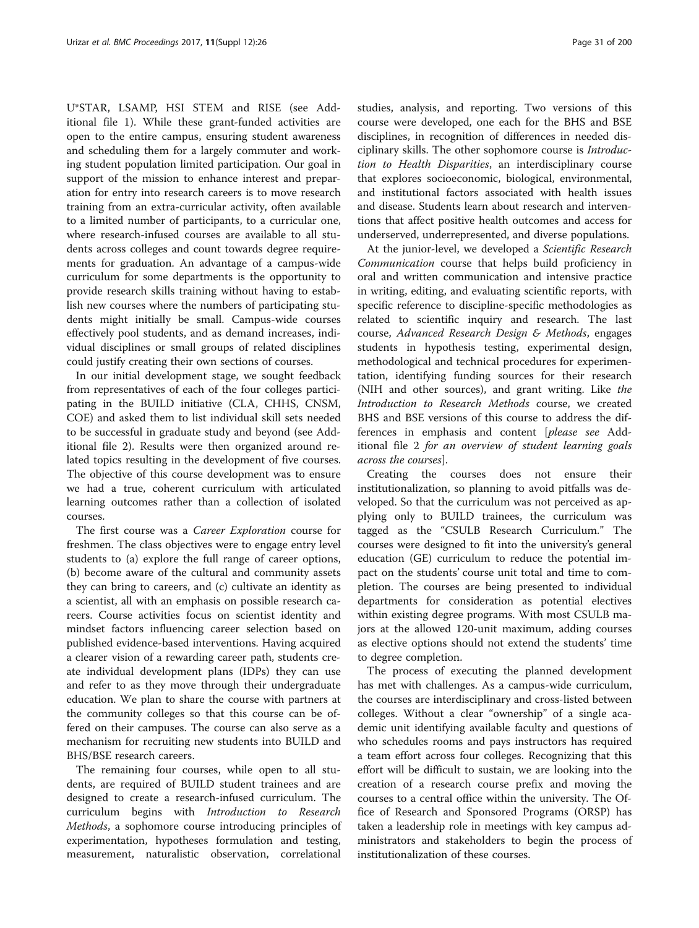U\*STAR, LSAMP, HSI STEM and RISE (see Additional file [1\)](#page-12-0). While these grant-funded activities are open to the entire campus, ensuring student awareness and scheduling them for a largely commuter and working student population limited participation. Our goal in support of the mission to enhance interest and preparation for entry into research careers is to move research training from an extra-curricular activity, often available to a limited number of participants, to a curricular one, where research-infused courses are available to all students across colleges and count towards degree requirements for graduation. An advantage of a campus-wide curriculum for some departments is the opportunity to provide research skills training without having to establish new courses where the numbers of participating students might initially be small. Campus-wide courses effectively pool students, and as demand increases, individual disciplines or small groups of related disciplines could justify creating their own sections of courses.

In our initial development stage, we sought feedback from representatives of each of the four colleges participating in the BUILD initiative (CLA, CHHS, CNSM, COE) and asked them to list individual skill sets needed to be successful in graduate study and beyond (see Additional file [2](#page-12-0)). Results were then organized around related topics resulting in the development of five courses. The objective of this course development was to ensure we had a true, coherent curriculum with articulated learning outcomes rather than a collection of isolated courses.

The first course was a Career Exploration course for freshmen. The class objectives were to engage entry level students to (a) explore the full range of career options, (b) become aware of the cultural and community assets they can bring to careers, and (c) cultivate an identity as a scientist, all with an emphasis on possible research careers. Course activities focus on scientist identity and mindset factors influencing career selection based on published evidence-based interventions. Having acquired a clearer vision of a rewarding career path, students create individual development plans (IDPs) they can use and refer to as they move through their undergraduate education. We plan to share the course with partners at the community colleges so that this course can be offered on their campuses. The course can also serve as a mechanism for recruiting new students into BUILD and BHS/BSE research careers.

The remaining four courses, while open to all students, are required of BUILD student trainees and are designed to create a research-infused curriculum. The curriculum begins with Introduction to Research Methods, a sophomore course introducing principles of experimentation, hypotheses formulation and testing, measurement, naturalistic observation, correlational studies, analysis, and reporting. Two versions of this course were developed, one each for the BHS and BSE disciplines, in recognition of differences in needed disciplinary skills. The other sophomore course is Introduction to Health Disparities, an interdisciplinary course that explores socioeconomic, biological, environmental, and institutional factors associated with health issues and disease. Students learn about research and interventions that affect positive health outcomes and access for underserved, underrepresented, and diverse populations.

At the junior-level, we developed a Scientific Research Communication course that helps build proficiency in oral and written communication and intensive practice in writing, editing, and evaluating scientific reports, with specific reference to discipline-specific methodologies as related to scientific inquiry and research. The last course, Advanced Research Design & Methods, engages students in hypothesis testing, experimental design, methodological and technical procedures for experimentation, identifying funding sources for their research (NIH and other sources), and grant writing. Like the Introduction to Research Methods course, we created BHS and BSE versions of this course to address the differences in emphasis and content [please see Additional file [2](#page-12-0) for an overview of student learning goals across the courses].

Creating the courses does not ensure their institutionalization, so planning to avoid pitfalls was developed. So that the curriculum was not perceived as applying only to BUILD trainees, the curriculum was tagged as the "CSULB Research Curriculum." The courses were designed to fit into the university's general education (GE) curriculum to reduce the potential impact on the students' course unit total and time to completion. The courses are being presented to individual departments for consideration as potential electives within existing degree programs. With most CSULB majors at the allowed 120-unit maximum, adding courses as elective options should not extend the students' time to degree completion.

The process of executing the planned development has met with challenges. As a campus-wide curriculum, the courses are interdisciplinary and cross-listed between colleges. Without a clear "ownership" of a single academic unit identifying available faculty and questions of who schedules rooms and pays instructors has required a team effort across four colleges. Recognizing that this effort will be difficult to sustain, we are looking into the creation of a research course prefix and moving the courses to a central office within the university. The Office of Research and Sponsored Programs (ORSP) has taken a leadership role in meetings with key campus administrators and stakeholders to begin the process of institutionalization of these courses.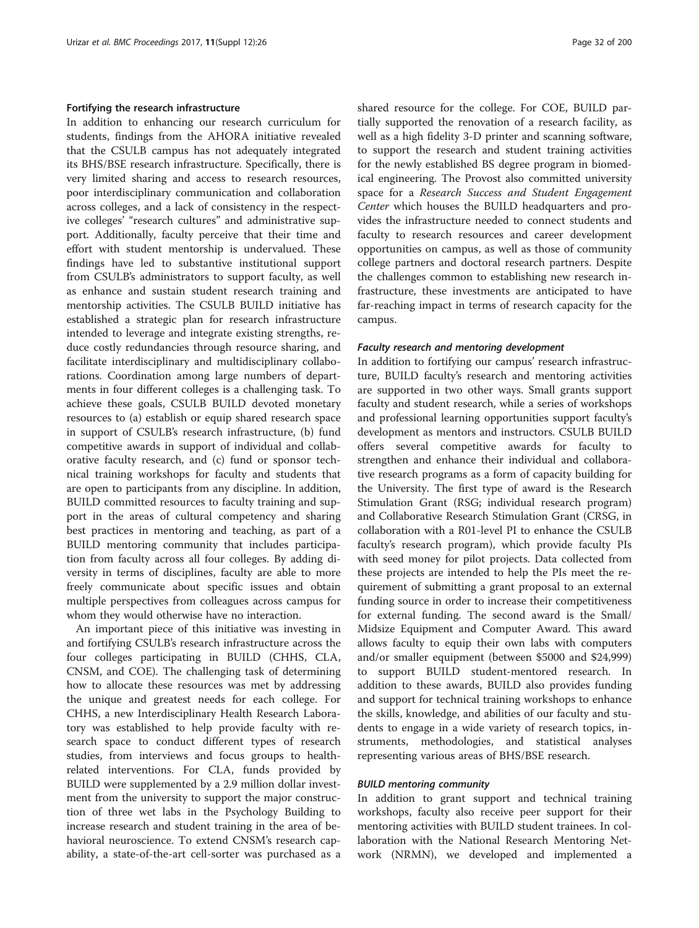#### Fortifying the research infrastructure

In addition to enhancing our research curriculum for students, findings from the AHORA initiative revealed that the CSULB campus has not adequately integrated its BHS/BSE research infrastructure. Specifically, there is very limited sharing and access to research resources, poor interdisciplinary communication and collaboration across colleges, and a lack of consistency in the respective colleges' "research cultures" and administrative support. Additionally, faculty perceive that their time and effort with student mentorship is undervalued. These findings have led to substantive institutional support from CSULB's administrators to support faculty, as well as enhance and sustain student research training and mentorship activities. The CSULB BUILD initiative has established a strategic plan for research infrastructure intended to leverage and integrate existing strengths, reduce costly redundancies through resource sharing, and facilitate interdisciplinary and multidisciplinary collaborations. Coordination among large numbers of departments in four different colleges is a challenging task. To achieve these goals, CSULB BUILD devoted monetary resources to (a) establish or equip shared research space in support of CSULB's research infrastructure, (b) fund competitive awards in support of individual and collaborative faculty research, and (c) fund or sponsor technical training workshops for faculty and students that are open to participants from any discipline. In addition, BUILD committed resources to faculty training and support in the areas of cultural competency and sharing best practices in mentoring and teaching, as part of a BUILD mentoring community that includes participation from faculty across all four colleges. By adding diversity in terms of disciplines, faculty are able to more freely communicate about specific issues and obtain multiple perspectives from colleagues across campus for whom they would otherwise have no interaction.

An important piece of this initiative was investing in and fortifying CSULB's research infrastructure across the four colleges participating in BUILD (CHHS, CLA, CNSM, and COE). The challenging task of determining how to allocate these resources was met by addressing the unique and greatest needs for each college. For CHHS, a new Interdisciplinary Health Research Laboratory was established to help provide faculty with research space to conduct different types of research studies, from interviews and focus groups to healthrelated interventions. For CLA, funds provided by BUILD were supplemented by a 2.9 million dollar investment from the university to support the major construction of three wet labs in the Psychology Building to increase research and student training in the area of behavioral neuroscience. To extend CNSM's research capability, a state-of-the-art cell-sorter was purchased as a shared resource for the college. For COE, BUILD partially supported the renovation of a research facility, as well as a high fidelity 3-D printer and scanning software, to support the research and student training activities for the newly established BS degree program in biomedical engineering. The Provost also committed university space for a Research Success and Student Engagement Center which houses the BUILD headquarters and provides the infrastructure needed to connect students and faculty to research resources and career development opportunities on campus, as well as those of community college partners and doctoral research partners. Despite the challenges common to establishing new research infrastructure, these investments are anticipated to have far-reaching impact in terms of research capacity for the campus.

#### Faculty research and mentoring development

In addition to fortifying our campus' research infrastructure, BUILD faculty's research and mentoring activities are supported in two other ways. Small grants support faculty and student research, while a series of workshops and professional learning opportunities support faculty's development as mentors and instructors. CSULB BUILD offers several competitive awards for faculty to strengthen and enhance their individual and collaborative research programs as a form of capacity building for the University. The first type of award is the Research Stimulation Grant (RSG; individual research program) and Collaborative Research Stimulation Grant (CRSG, in collaboration with a R01-level PI to enhance the CSULB faculty's research program), which provide faculty PIs with seed money for pilot projects. Data collected from these projects are intended to help the PIs meet the requirement of submitting a grant proposal to an external funding source in order to increase their competitiveness for external funding. The second award is the Small/ Midsize Equipment and Computer Award. This award allows faculty to equip their own labs with computers and/or smaller equipment (between \$5000 and \$24,999) to support BUILD student-mentored research. In addition to these awards, BUILD also provides funding and support for technical training workshops to enhance the skills, knowledge, and abilities of our faculty and students to engage in a wide variety of research topics, instruments, methodologies, and statistical analyses representing various areas of BHS/BSE research.

# BUILD mentoring community

In addition to grant support and technical training workshops, faculty also receive peer support for their mentoring activities with BUILD student trainees. In collaboration with the National Research Mentoring Network (NRMN), we developed and implemented a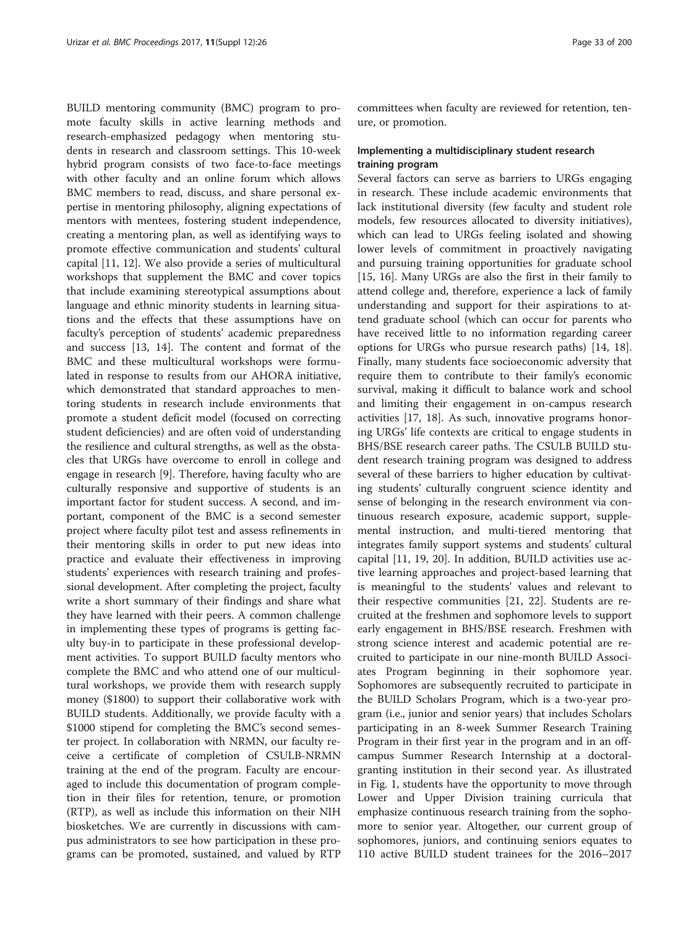BUILD mentoring community (BMC) program to promote faculty skills in active learning methods and research-emphasized pedagogy when mentoring students in research and classroom settings. This 10-week hybrid program consists of two face-to-face meetings with other faculty and an online forum which allows BMC members to read, discuss, and share personal expertise in mentoring philosophy, aligning expectations of mentors with mentees, fostering student independence, creating a mentoring plan, as well as identifying ways to promote effective communication and students' cultural capital [[11](#page-12-0), [12\]](#page-12-0). We also provide a series of multicultural workshops that supplement the BMC and cover topics that include examining stereotypical assumptions about language and ethnic minority students in learning situations and the effects that these assumptions have on faculty's perception of students' academic preparedness and success [\[13](#page-13-0), [14\]](#page-13-0). The content and format of the BMC and these multicultural workshops were formulated in response to results from our AHORA initiative, which demonstrated that standard approaches to mentoring students in research include environments that promote a student deficit model (focused on correcting student deficiencies) and are often void of understanding the resilience and cultural strengths, as well as the obstacles that URGs have overcome to enroll in college and engage in research [[9\]](#page-12-0). Therefore, having faculty who are culturally responsive and supportive of students is an important factor for student success. A second, and important, component of the BMC is a second semester project where faculty pilot test and assess refinements in their mentoring skills in order to put new ideas into practice and evaluate their effectiveness in improving students' experiences with research training and professional development. After completing the project, faculty write a short summary of their findings and share what they have learned with their peers. A common challenge in implementing these types of programs is getting faculty buy-in to participate in these professional development activities. To support BUILD faculty mentors who complete the BMC and who attend one of our multicultural workshops, we provide them with research supply money (\$1800) to support their collaborative work with BUILD students. Additionally, we provide faculty with a \$1000 stipend for completing the BMC's second semester project. In collaboration with NRMN, our faculty receive a certificate of completion of CSULB-NRMN training at the end of the program. Faculty are encouraged to include this documentation of program completion in their files for retention, tenure, or promotion (RTP), as well as include this information on their NIH biosketches. We are currently in discussions with campus administrators to see how participation in these programs can be promoted, sustained, and valued by RTP committees when faculty are reviewed for retention, tenure, or promotion.

# Implementing a multidisciplinary student research training program

Several factors can serve as barriers to URGs engaging in research. These include academic environments that lack institutional diversity (few faculty and student role models, few resources allocated to diversity initiatives), which can lead to URGs feeling isolated and showing lower levels of commitment in proactively navigating and pursuing training opportunities for graduate school [[15, 16](#page-13-0)]. Many URGs are also the first in their family to attend college and, therefore, experience a lack of family understanding and support for their aspirations to attend graduate school (which can occur for parents who have received little to no information regarding career options for URGs who pursue research paths) [\[14](#page-13-0), [18](#page-13-0)]. Finally, many students face socioeconomic adversity that require them to contribute to their family's economic survival, making it difficult to balance work and school and limiting their engagement in on-campus research activities [\[17](#page-13-0), [18](#page-13-0)]. As such, innovative programs honoring URGs' life contexts are critical to engage students in BHS/BSE research career paths. The CSULB BUILD student research training program was designed to address several of these barriers to higher education by cultivating students' culturally congruent science identity and sense of belonging in the research environment via continuous research exposure, academic support, supplemental instruction, and multi-tiered mentoring that integrates family support systems and students' cultural capital [[11,](#page-12-0) [19](#page-13-0), [20](#page-13-0)]. In addition, BUILD activities use active learning approaches and project-based learning that is meaningful to the students' values and relevant to their respective communities [\[21, 22](#page-13-0)]. Students are recruited at the freshmen and sophomore levels to support early engagement in BHS/BSE research. Freshmen with strong science interest and academic potential are recruited to participate in our nine-month BUILD Associates Program beginning in their sophomore year. Sophomores are subsequently recruited to participate in the BUILD Scholars Program, which is a two-year program (i.e., junior and senior years) that includes Scholars participating in an 8-week Summer Research Training Program in their first year in the program and in an offcampus Summer Research Internship at a doctoralgranting institution in their second year. As illustrated in Fig. [1](#page-7-0), students have the opportunity to move through Lower and Upper Division training curricula that emphasize continuous research training from the sophomore to senior year. Altogether, our current group of sophomores, juniors, and continuing seniors equates to 110 active BUILD student trainees for the 2016–2017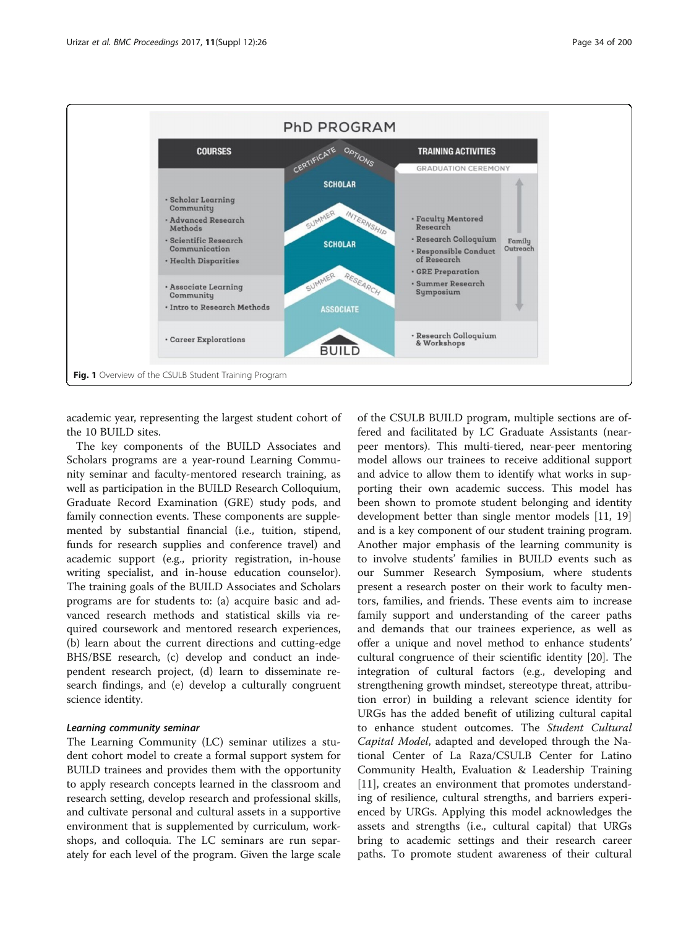<span id="page-7-0"></span>

academic year, representing the largest student cohort of the 10 BUILD sites.

The key components of the BUILD Associates and Scholars programs are a year-round Learning Community seminar and faculty-mentored research training, as well as participation in the BUILD Research Colloquium, Graduate Record Examination (GRE) study pods, and family connection events. These components are supplemented by substantial financial (i.e., tuition, stipend, funds for research supplies and conference travel) and academic support (e.g., priority registration, in-house writing specialist, and in-house education counselor). The training goals of the BUILD Associates and Scholars programs are for students to: (a) acquire basic and advanced research methods and statistical skills via required coursework and mentored research experiences, (b) learn about the current directions and cutting-edge BHS/BSE research, (c) develop and conduct an independent research project, (d) learn to disseminate research findings, and (e) develop a culturally congruent science identity.

#### Learning community seminar

The Learning Community (LC) seminar utilizes a student cohort model to create a formal support system for BUILD trainees and provides them with the opportunity to apply research concepts learned in the classroom and research setting, develop research and professional skills, and cultivate personal and cultural assets in a supportive environment that is supplemented by curriculum, workshops, and colloquia. The LC seminars are run separately for each level of the program. Given the large scale

of the CSULB BUILD program, multiple sections are offered and facilitated by LC Graduate Assistants (nearpeer mentors). This multi-tiered, near-peer mentoring model allows our trainees to receive additional support and advice to allow them to identify what works in supporting their own academic success. This model has been shown to promote student belonging and identity development better than single mentor models [[11](#page-12-0), [19](#page-13-0)] and is a key component of our student training program. Another major emphasis of the learning community is to involve students' families in BUILD events such as our Summer Research Symposium, where students present a research poster on their work to faculty mentors, families, and friends. These events aim to increase family support and understanding of the career paths and demands that our trainees experience, as well as offer a unique and novel method to enhance students' cultural congruence of their scientific identity [\[20](#page-13-0)]. The integration of cultural factors (e.g., developing and strengthening growth mindset, stereotype threat, attribution error) in building a relevant science identity for URGs has the added benefit of utilizing cultural capital to enhance student outcomes. The Student Cultural Capital Model, adapted and developed through the National Center of La Raza/CSULB Center for Latino Community Health, Evaluation & Leadership Training [[11\]](#page-12-0), creates an environment that promotes understanding of resilience, cultural strengths, and barriers experienced by URGs. Applying this model acknowledges the assets and strengths (i.e., cultural capital) that URGs bring to academic settings and their research career paths. To promote student awareness of their cultural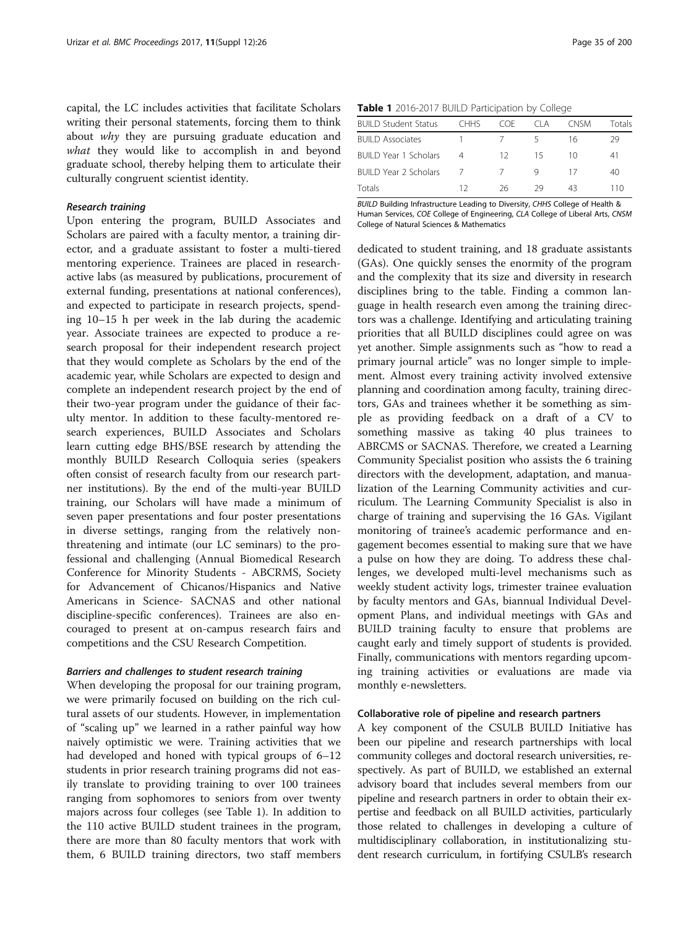capital, the LC includes activities that facilitate Scholars writing their personal statements, forcing them to think about why they are pursuing graduate education and what they would like to accomplish in and beyond graduate school, thereby helping them to articulate their culturally congruent scientist identity.

#### Research training

Upon entering the program, BUILD Associates and Scholars are paired with a faculty mentor, a training director, and a graduate assistant to foster a multi-tiered mentoring experience. Trainees are placed in researchactive labs (as measured by publications, procurement of external funding, presentations at national conferences), and expected to participate in research projects, spending 10–15 h per week in the lab during the academic year. Associate trainees are expected to produce a research proposal for their independent research project that they would complete as Scholars by the end of the academic year, while Scholars are expected to design and complete an independent research project by the end of their two-year program under the guidance of their faculty mentor. In addition to these faculty-mentored research experiences, BUILD Associates and Scholars learn cutting edge BHS/BSE research by attending the monthly BUILD Research Colloquia series (speakers often consist of research faculty from our research partner institutions). By the end of the multi-year BUILD training, our Scholars will have made a minimum of seven paper presentations and four poster presentations in diverse settings, ranging from the relatively nonthreatening and intimate (our LC seminars) to the professional and challenging (Annual Biomedical Research Conference for Minority Students - ABCRMS, Society for Advancement of Chicanos/Hispanics and Native Americans in Science- SACNAS and other national discipline-specific conferences). Trainees are also encouraged to present at on-campus research fairs and competitions and the CSU Research Competition.

# Barriers and challenges to student research training

When developing the proposal for our training program, we were primarily focused on building on the rich cultural assets of our students. However, in implementation of "scaling up" we learned in a rather painful way how naively optimistic we were. Training activities that we had developed and honed with typical groups of 6–12 students in prior research training programs did not easily translate to providing training to over 100 trainees ranging from sophomores to seniors from over twenty majors across four colleges (see Table 1). In addition to the 110 active BUILD student trainees in the program, there are more than 80 faculty mentors that work with them, 6 BUILD training directors, two staff members

|  | Table 1 2016-2017 BUILD Participation by College |  |  |
|--|--------------------------------------------------|--|--|
|  |                                                  |  |  |

| <b>BUILD Student Status</b>  | <b>CHHS</b> | COF | CI A   | <b>CNSM</b>   | Totals |
|------------------------------|-------------|-----|--------|---------------|--------|
| <b>BUILD Associates</b>      |             |     | $\sim$ | 16            | 29     |
| <b>BUILD Year 1 Scholars</b> | 4           | 12  | 15.    | 1O            | 41     |
| BUILD Year 2 Scholars        |             |     | Q      | $\frac{1}{2}$ | 40     |
| Totals                       | 12          | 26  | - 29   | 43            | 110    |

BUILD Building Infrastructure Leading to Diversity, CHHS College of Health & Human Services, COE College of Engineering, CLA College of Liberal Arts, CNSM College of Natural Sciences & Mathematics

dedicated to student training, and 18 graduate assistants (GAs). One quickly senses the enormity of the program and the complexity that its size and diversity in research disciplines bring to the table. Finding a common language in health research even among the training directors was a challenge. Identifying and articulating training priorities that all BUILD disciplines could agree on was yet another. Simple assignments such as "how to read a primary journal article" was no longer simple to implement. Almost every training activity involved extensive planning and coordination among faculty, training directors, GAs and trainees whether it be something as simple as providing feedback on a draft of a CV to something massive as taking 40 plus trainees to ABRCMS or SACNAS. Therefore, we created a Learning Community Specialist position who assists the 6 training directors with the development, adaptation, and manualization of the Learning Community activities and curriculum. The Learning Community Specialist is also in charge of training and supervising the 16 GAs. Vigilant monitoring of trainee's academic performance and engagement becomes essential to making sure that we have a pulse on how they are doing. To address these challenges, we developed multi-level mechanisms such as weekly student activity logs, trimester trainee evaluation by faculty mentors and GAs, biannual Individual Development Plans, and individual meetings with GAs and BUILD training faculty to ensure that problems are caught early and timely support of students is provided. Finally, communications with mentors regarding upcoming training activities or evaluations are made via monthly e-newsletters.

#### Collaborative role of pipeline and research partners

A key component of the CSULB BUILD Initiative has been our pipeline and research partnerships with local community colleges and doctoral research universities, respectively. As part of BUILD, we established an external advisory board that includes several members from our pipeline and research partners in order to obtain their expertise and feedback on all BUILD activities, particularly those related to challenges in developing a culture of multidisciplinary collaboration, in institutionalizing student research curriculum, in fortifying CSULB's research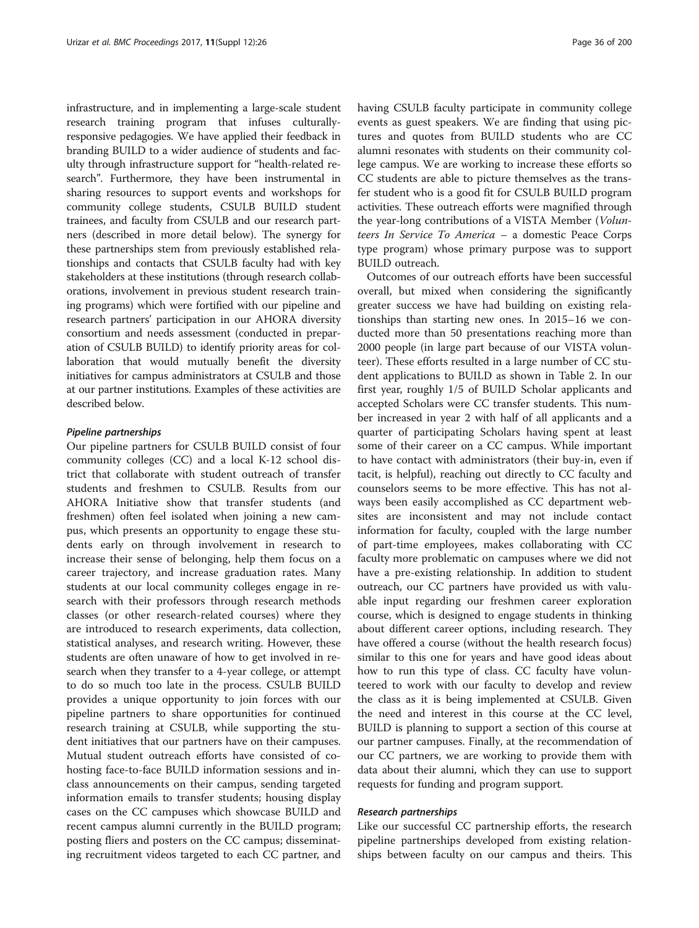infrastructure, and in implementing a large-scale student research training program that infuses culturallyresponsive pedagogies. We have applied their feedback in branding BUILD to a wider audience of students and faculty through infrastructure support for "health-related research". Furthermore, they have been instrumental in sharing resources to support events and workshops for community college students, CSULB BUILD student trainees, and faculty from CSULB and our research partners (described in more detail below). The synergy for these partnerships stem from previously established relationships and contacts that CSULB faculty had with key stakeholders at these institutions (through research collaborations, involvement in previous student research training programs) which were fortified with our pipeline and research partners' participation in our AHORA diversity consortium and needs assessment (conducted in preparation of CSULB BUILD) to identify priority areas for collaboration that would mutually benefit the diversity initiatives for campus administrators at CSULB and those at our partner institutions. Examples of these activities are described below.

#### Pipeline partnerships

Our pipeline partners for CSULB BUILD consist of four community colleges (CC) and a local K-12 school district that collaborate with student outreach of transfer students and freshmen to CSULB. Results from our AHORA Initiative show that transfer students (and freshmen) often feel isolated when joining a new campus, which presents an opportunity to engage these students early on through involvement in research to increase their sense of belonging, help them focus on a career trajectory, and increase graduation rates. Many students at our local community colleges engage in research with their professors through research methods classes (or other research-related courses) where they are introduced to research experiments, data collection, statistical analyses, and research writing. However, these students are often unaware of how to get involved in research when they transfer to a 4-year college, or attempt to do so much too late in the process. CSULB BUILD provides a unique opportunity to join forces with our pipeline partners to share opportunities for continued research training at CSULB, while supporting the student initiatives that our partners have on their campuses. Mutual student outreach efforts have consisted of cohosting face-to-face BUILD information sessions and inclass announcements on their campus, sending targeted information emails to transfer students; housing display cases on the CC campuses which showcase BUILD and recent campus alumni currently in the BUILD program; posting fliers and posters on the CC campus; disseminating recruitment videos targeted to each CC partner, and having CSULB faculty participate in community college events as guest speakers. We are finding that using pictures and quotes from BUILD students who are CC alumni resonates with students on their community college campus. We are working to increase these efforts so CC students are able to picture themselves as the transfer student who is a good fit for CSULB BUILD program activities. These outreach efforts were magnified through the year-long contributions of a VISTA Member (Volunteers In Service To America – a domestic Peace Corps type program) whose primary purpose was to support BUILD outreach.

Outcomes of our outreach efforts have been successful overall, but mixed when considering the significantly greater success we have had building on existing relationships than starting new ones. In 2015–16 we conducted more than 50 presentations reaching more than 2000 people (in large part because of our VISTA volunteer). These efforts resulted in a large number of CC student applications to BUILD as shown in Table [2.](#page-10-0) In our first year, roughly 1/5 of BUILD Scholar applicants and accepted Scholars were CC transfer students. This number increased in year 2 with half of all applicants and a quarter of participating Scholars having spent at least some of their career on a CC campus. While important to have contact with administrators (their buy-in, even if tacit, is helpful), reaching out directly to CC faculty and counselors seems to be more effective. This has not always been easily accomplished as CC department websites are inconsistent and may not include contact information for faculty, coupled with the large number of part-time employees, makes collaborating with CC faculty more problematic on campuses where we did not have a pre-existing relationship. In addition to student outreach, our CC partners have provided us with valuable input regarding our freshmen career exploration course, which is designed to engage students in thinking about different career options, including research. They have offered a course (without the health research focus) similar to this one for years and have good ideas about how to run this type of class. CC faculty have volunteered to work with our faculty to develop and review the class as it is being implemented at CSULB. Given the need and interest in this course at the CC level, BUILD is planning to support a section of this course at our partner campuses. Finally, at the recommendation of our CC partners, we are working to provide them with data about their alumni, which they can use to support requests for funding and program support.

#### Research partnerships

Like our successful CC partnership efforts, the research pipeline partnerships developed from existing relationships between faculty on our campus and theirs. This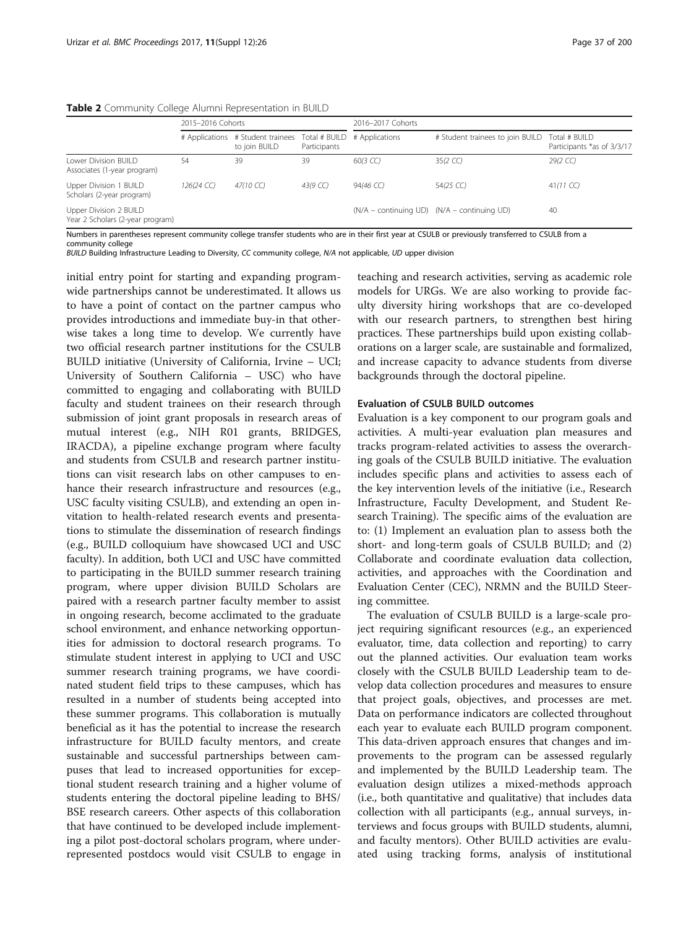<span id="page-10-0"></span>

| Table 2 Community College Alumni Representation in BUILD |
|----------------------------------------------------------|
|----------------------------------------------------------|

|                                                            | 2015-2016 Cohorts |                                                                                 |              | 2016-2017 Cohorts |                                                 |                                             |  |
|------------------------------------------------------------|-------------------|---------------------------------------------------------------------------------|--------------|-------------------|-------------------------------------------------|---------------------------------------------|--|
|                                                            |                   | # Applications # Student trainees Total # BUILD # Applications<br>to join BUILD | Participants |                   | # Student trainees to join BUILD                | Total # BUILD<br>Participants *as of 3/3/17 |  |
| Lower Division BUILD<br>Associates (1-year program)        | 54                | 39                                                                              | 39           | 60(3 CC)          | 35(2 CC)                                        | 29(2 CC)                                    |  |
| Upper Division 1 BUILD<br>Scholars (2-year program)        | 126(24 CC)        | 47(10 CC)                                                                       | 43(9 CC)     | 94(46 CC)         | 54(25 CC)                                       | 41 $(11 C)$                                 |  |
| Upper Division 2 BUILD<br>Year 2 Scholars (2-year program) |                   |                                                                                 |              |                   | $(N/A -$ continuing UD) $(N/A -$ continuing UD) | 40                                          |  |

Numbers in parentheses represent community college transfer students who are in their first year at CSULB or previously transferred to CSULB from a community college

BUILD Building Infrastructure Leading to Diversity, CC community college, N/A not applicable, UD upper division

initial entry point for starting and expanding programwide partnerships cannot be underestimated. It allows us to have a point of contact on the partner campus who provides introductions and immediate buy-in that otherwise takes a long time to develop. We currently have two official research partner institutions for the CSULB BUILD initiative (University of California, Irvine – UCI; University of Southern California – USC) who have committed to engaging and collaborating with BUILD faculty and student trainees on their research through submission of joint grant proposals in research areas of mutual interest (e.g., NIH R01 grants, BRIDGES, IRACDA), a pipeline exchange program where faculty and students from CSULB and research partner institutions can visit research labs on other campuses to enhance their research infrastructure and resources (e.g., USC faculty visiting CSULB), and extending an open invitation to health-related research events and presentations to stimulate the dissemination of research findings (e.g., BUILD colloquium have showcased UCI and USC faculty). In addition, both UCI and USC have committed to participating in the BUILD summer research training program, where upper division BUILD Scholars are paired with a research partner faculty member to assist in ongoing research, become acclimated to the graduate school environment, and enhance networking opportunities for admission to doctoral research programs. To stimulate student interest in applying to UCI and USC summer research training programs, we have coordinated student field trips to these campuses, which has resulted in a number of students being accepted into these summer programs. This collaboration is mutually beneficial as it has the potential to increase the research infrastructure for BUILD faculty mentors, and create sustainable and successful partnerships between campuses that lead to increased opportunities for exceptional student research training and a higher volume of students entering the doctoral pipeline leading to BHS/ BSE research careers. Other aspects of this collaboration that have continued to be developed include implementing a pilot post-doctoral scholars program, where underrepresented postdocs would visit CSULB to engage in

teaching and research activities, serving as academic role models for URGs. We are also working to provide faculty diversity hiring workshops that are co-developed with our research partners, to strengthen best hiring practices. These partnerships build upon existing collaborations on a larger scale, are sustainable and formalized, and increase capacity to advance students from diverse backgrounds through the doctoral pipeline.

#### Evaluation of CSULB BUILD outcomes

Evaluation is a key component to our program goals and activities. A multi-year evaluation plan measures and tracks program-related activities to assess the overarching goals of the CSULB BUILD initiative. The evaluation includes specific plans and activities to assess each of the key intervention levels of the initiative (i.e., Research Infrastructure, Faculty Development, and Student Research Training). The specific aims of the evaluation are to: (1) Implement an evaluation plan to assess both the short- and long-term goals of CSULB BUILD; and (2) Collaborate and coordinate evaluation data collection, activities, and approaches with the Coordination and Evaluation Center (CEC), NRMN and the BUILD Steering committee.

The evaluation of CSULB BUILD is a large-scale project requiring significant resources (e.g., an experienced evaluator, time, data collection and reporting) to carry out the planned activities. Our evaluation team works closely with the CSULB BUILD Leadership team to develop data collection procedures and measures to ensure that project goals, objectives, and processes are met. Data on performance indicators are collected throughout each year to evaluate each BUILD program component. This data-driven approach ensures that changes and improvements to the program can be assessed regularly and implemented by the BUILD Leadership team. The evaluation design utilizes a mixed-methods approach (i.e., both quantitative and qualitative) that includes data collection with all participants (e.g., annual surveys, interviews and focus groups with BUILD students, alumni, and faculty mentors). Other BUILD activities are evaluated using tracking forms, analysis of institutional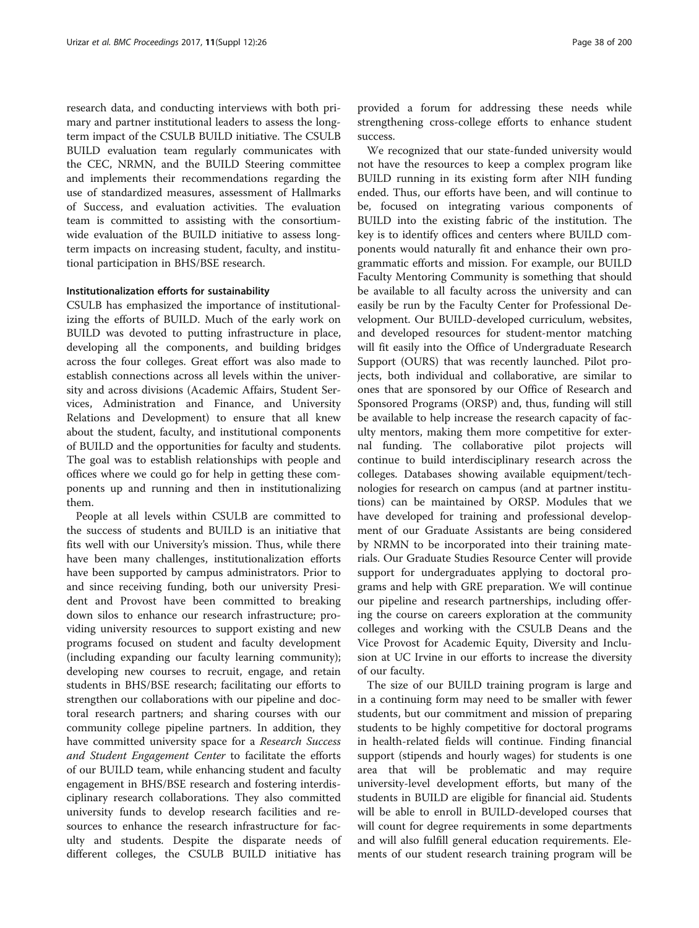research data, and conducting interviews with both primary and partner institutional leaders to assess the longterm impact of the CSULB BUILD initiative. The CSULB BUILD evaluation team regularly communicates with the CEC, NRMN, and the BUILD Steering committee and implements their recommendations regarding the use of standardized measures, assessment of Hallmarks of Success, and evaluation activities. The evaluation team is committed to assisting with the consortiumwide evaluation of the BUILD initiative to assess longterm impacts on increasing student, faculty, and institutional participation in BHS/BSE research.

#### Institutionalization efforts for sustainability

CSULB has emphasized the importance of institutionalizing the efforts of BUILD. Much of the early work on BUILD was devoted to putting infrastructure in place, developing all the components, and building bridges across the four colleges. Great effort was also made to establish connections across all levels within the university and across divisions (Academic Affairs, Student Services, Administration and Finance, and University Relations and Development) to ensure that all knew about the student, faculty, and institutional components of BUILD and the opportunities for faculty and students. The goal was to establish relationships with people and offices where we could go for help in getting these components up and running and then in institutionalizing them.

People at all levels within CSULB are committed to the success of students and BUILD is an initiative that fits well with our University's mission. Thus, while there have been many challenges, institutionalization efforts have been supported by campus administrators. Prior to and since receiving funding, both our university President and Provost have been committed to breaking down silos to enhance our research infrastructure; providing university resources to support existing and new programs focused on student and faculty development (including expanding our faculty learning community); developing new courses to recruit, engage, and retain students in BHS/BSE research; facilitating our efforts to strengthen our collaborations with our pipeline and doctoral research partners; and sharing courses with our community college pipeline partners. In addition, they have committed university space for a Research Success and Student Engagement Center to facilitate the efforts of our BUILD team, while enhancing student and faculty engagement in BHS/BSE research and fostering interdisciplinary research collaborations. They also committed university funds to develop research facilities and resources to enhance the research infrastructure for faculty and students. Despite the disparate needs of different colleges, the CSULB BUILD initiative has

provided a forum for addressing these needs while strengthening cross-college efforts to enhance student success.

We recognized that our state-funded university would not have the resources to keep a complex program like BUILD running in its existing form after NIH funding ended. Thus, our efforts have been, and will continue to be, focused on integrating various components of BUILD into the existing fabric of the institution. The key is to identify offices and centers where BUILD components would naturally fit and enhance their own programmatic efforts and mission. For example, our BUILD Faculty Mentoring Community is something that should be available to all faculty across the university and can easily be run by the Faculty Center for Professional Development. Our BUILD-developed curriculum, websites, and developed resources for student-mentor matching will fit easily into the Office of Undergraduate Research Support (OURS) that was recently launched. Pilot projects, both individual and collaborative, are similar to ones that are sponsored by our Office of Research and Sponsored Programs (ORSP) and, thus, funding will still be available to help increase the research capacity of faculty mentors, making them more competitive for external funding. The collaborative pilot projects will continue to build interdisciplinary research across the colleges. Databases showing available equipment/technologies for research on campus (and at partner institutions) can be maintained by ORSP. Modules that we have developed for training and professional development of our Graduate Assistants are being considered by NRMN to be incorporated into their training materials. Our Graduate Studies Resource Center will provide support for undergraduates applying to doctoral programs and help with GRE preparation. We will continue our pipeline and research partnerships, including offering the course on careers exploration at the community colleges and working with the CSULB Deans and the Vice Provost for Academic Equity, Diversity and Inclusion at UC Irvine in our efforts to increase the diversity of our faculty.

The size of our BUILD training program is large and in a continuing form may need to be smaller with fewer students, but our commitment and mission of preparing students to be highly competitive for doctoral programs in health-related fields will continue. Finding financial support (stipends and hourly wages) for students is one area that will be problematic and may require university-level development efforts, but many of the students in BUILD are eligible for financial aid. Students will be able to enroll in BUILD-developed courses that will count for degree requirements in some departments and will also fulfill general education requirements. Elements of our student research training program will be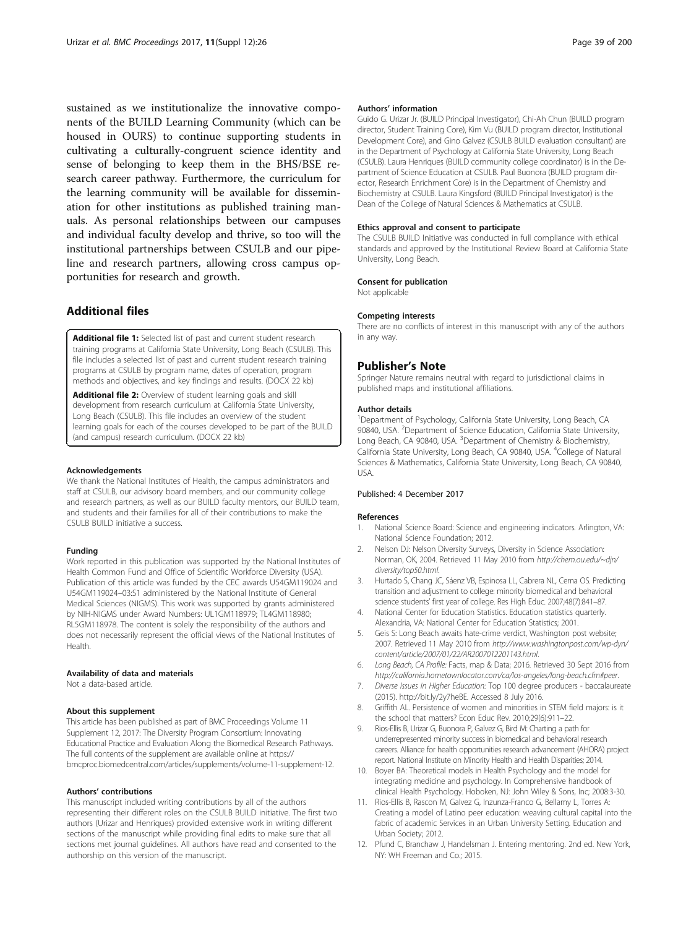<span id="page-12-0"></span>sustained as we institutionalize the innovative components of the BUILD Learning Community (which can be housed in OURS) to continue supporting students in cultivating a culturally-congruent science identity and sense of belonging to keep them in the BHS/BSE research career pathway. Furthermore, the curriculum for the learning community will be available for dissemination for other institutions as published training manuals. As personal relationships between our campuses and individual faculty develop and thrive, so too will the institutional partnerships between CSULB and our pipeline and research partners, allowing cross campus opportunities for research and growth.

# Additional files

[Additional file 1:](dx.doi.org/10.1186/s12919-017-0088-3) Selected list of past and current student research training programs at California State University, Long Beach (CSULB). This file includes a selected list of past and current student research training programs at CSULB by program name, dates of operation, program methods and objectives, and key findings and results. (DOCX 22 kb)

[Additional file 2:](dx.doi.org/10.1186/s12919-017-0088-3) Overview of student learning goals and skill development from research curriculum at California State University, Long Beach (CSULB). This file includes an overview of the student learning goals for each of the courses developed to be part of the BUILD (and campus) research curriculum. (DOCX 22 kb)

#### Acknowledgements

We thank the National Institutes of Health, the campus administrators and staff at CSULB, our advisory board members, and our community college and research partners, as well as our BUILD faculty mentors, our BUILD team, and students and their families for all of their contributions to make the CSULB BUILD initiative a success.

#### Funding

Work reported in this publication was supported by the National Institutes of Health Common Fund and Office of Scientific Workforce Diversity (USA). Publication of this article was funded by the CEC awards U54GM119024 and U54GM119024–03:S1 administered by the National Institute of General Medical Sciences (NIGMS). This work was supported by grants administered by NIH-NIGMS under Award Numbers: UL1GM118979; TL4GM118980; RL5GM118978. The content is solely the responsibility of the authors and does not necessarily represent the official views of the National Institutes of Health.

#### Availability of data and materials

Not a data-based article.

#### About this supplement

This article has been published as part of BMC Proceedings Volume 11 Supplement 12, 2017: The Diversity Program Consortium: Innovating Educational Practice and Evaluation Along the Biomedical Research Pathways. The full contents of the supplement are available online at [https://](https://bmcproc.biomedcentral.com/articles/supplements/volume-11-supplement-12) [bmcproc.biomedcentral.com/articles/supplements/volume-11-supplement-12](https://bmcproc.biomedcentral.com/articles/supplements/volume-11-supplement-12).

#### Authors' contributions

This manuscript included writing contributions by all of the authors representing their different roles on the CSULB BUILD initiative. The first two authors (Urizar and Henriques) provided extensive work in writing different sections of the manuscript while providing final edits to make sure that all sections met journal guidelines. All authors have read and consented to the authorship on this version of the manuscript.

#### Authors' information

Guido G. Urizar Jr. (BUILD Principal Investigator), Chi-Ah Chun (BUILD program director, Student Training Core), Kim Vu (BUILD program director, Institutional Development Core), and Gino Galvez (CSULB BUILD evaluation consultant) are in the Department of Psychology at California State University, Long Beach (CSULB). Laura Henriques (BUILD community college coordinator) is in the Department of Science Education at CSULB. Paul Buonora (BUILD program director, Research Enrichment Core) is in the Department of Chemistry and Biochemistry at CSULB. Laura Kingsford (BUILD Principal Investigator) is the Dean of the College of Natural Sciences & Mathematics at CSULB.

# Ethics approval and consent to participate

The CSULB BUILD Initiative was conducted in full compliance with ethical standards and approved by the Institutional Review Board at California State University, Long Beach.

# Consent for publication

Not applicable

# Competing interests

There are no conflicts of interest in this manuscript with any of the authors in any way.

#### Publisher's Note

Springer Nature remains neutral with regard to jurisdictional claims in published maps and institutional affiliations.

#### Author details

<sup>1</sup>Department of Psychology, California State University, Long Beach, CA 90840, USA. <sup>2</sup> Department of Science Education, California State University, Long Beach, CA 90840, USA. <sup>3</sup> Department of Chemistry & Biochemistry California State University, Long Beach, CA 90840, USA. <sup>4</sup> College of Natural Sciences & Mathematics, California State University, Long Beach, CA 90840, USA.

#### Published: 4 December 2017

#### References

- 1. National Science Board: Science and engineering indicators. Arlington, VA: National Science Foundation; 2012.
- 2. Nelson DJ: Nelson Diversity Surveys, Diversity in Science Association: Norman, OK, 2004. Retrieved 11 May 2010 from [http://chem.ou.edu/~djn/](http://chem.ou.edu/~djn/diversity/top50.html) [diversity/top50.html](http://chem.ou.edu/~djn/diversity/top50.html).
- 3. Hurtado S, Chang JC, Sáenz VB, Espinosa LL, Cabrera NL, Cerna OS. Predicting transition and adjustment to college: minority biomedical and behavioral science students' first year of college. Res High Educ. 2007;48(7):841–87.
- 4. National Center for Education Statistics. Education statistics quarterly. Alexandria, VA: National Center for Education Statistics; 2001.
- 5. Geis S: Long Beach awaits hate-crime verdict, Washington post website; 2007. Retrieved 11 May 2010 from [http://www.washingtonpost.com/wp-dyn/](http://www.washingtonpost.com/wp-dyn/content/article/2007/01/22/AR2007012201143.html) [content/article/2007/01/22/AR2007012201143.html](http://www.washingtonpost.com/wp-dyn/content/article/2007/01/22/AR2007012201143.html).
- 6. Long Beach, CA Profile: Facts, map & Data; 2016. Retrieved 30 Sept 2016 from <http://california.hometownlocator.com/ca/los-angeles/long-beach.cfm#peer>.
- 7. Diverse Issues in Higher Education: Top 100 degree producers baccalaureate (2015).<http://bit.ly/2y7heBE>. Accessed 8 July 2016.
- 8. Griffith AL. Persistence of women and minorities in STEM field majors: is it the school that matters? Econ Educ Rev. 2010;29(6):911–22.
- 9. Rios-Ellis B, Urizar G, Buonora P, Galvez G, Bird M: Charting a path for underrepresented minority success in biomedical and behavioral research careers. Alliance for health opportunities research advancement (AHORA) project report. National Institute on Minority Health and Health Disparities; 2014.
- 10. Boyer BA: Theoretical models in Health Psychology and the model for integrating medicine and psychology. In Comprehensive handbook of clinical Health Psychology. Hoboken, NJ: John Wiley & Sons, Inc; 2008:3-30.
- 11. Rios-Ellis B, Rascon M, Galvez G, Inzunza-Franco G, Bellamy L, Torres A: Creating a model of Latino peer education: weaving cultural capital into the fabric of academic Services in an Urban University Setting. Education and Urban Society; 2012.
- 12. Pfund C, Branchaw J, Handelsman J. Entering mentoring. 2nd ed. New York, NY: WH Freeman and Co.; 2015.